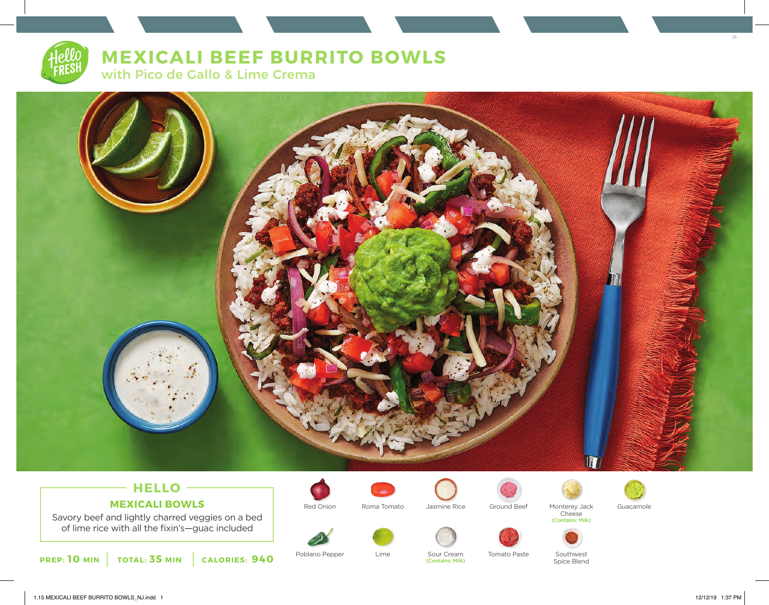# **MEXICALI BEEF BURRITO BOWLS**

with Pico de Gallo & Lime Crema



## **HELLO MEXICALI BOWLS**

Savory beef and lightly charred veggies on a bed of lime rice with all the fixin's—guac included



Poblano Pepper Lime Sour Cream Tomato Paste



Lime



(Contains: Milk)

Red Onion Moma Tomato Jasmine Rice Ground Beef Monterey Jack Guacamole





Cheese (Contains: Milk)



Southwest Spice Blend

15